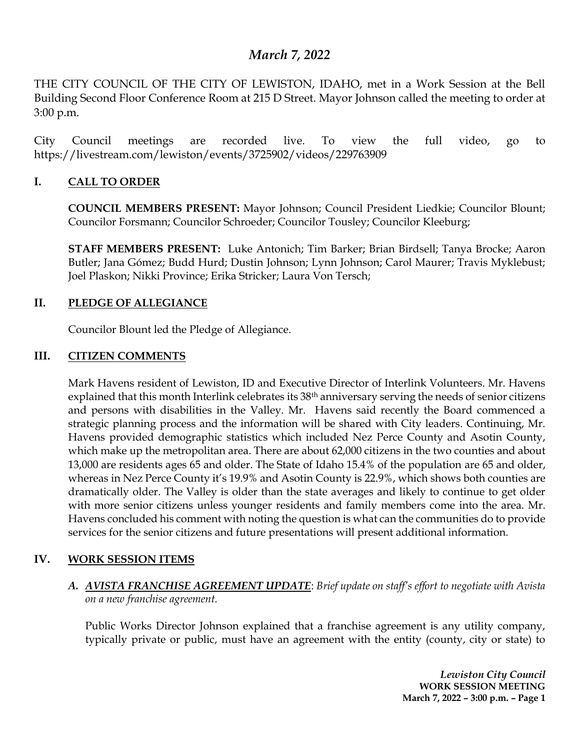# *March 7, 2022*

THE CITY COUNCIL OF THE CITY OF LEWISTON, IDAHO, met in a Work Session at the Bell Building Second Floor Conference Room at 215 D Street. Mayor Johnson called the meeting to order at 3:00 p.m.

City Council meetings are recorded live. To view the full video, go to https://livestream.com/lewiston/events/3725902/videos/229763909

### **I. CALL TO ORDER**

**COUNCIL MEMBERS PRESENT:** Mayor Johnson; Council President Liedkie; Councilor Blount; Councilor Forsmann; Councilor Schroeder; Councilor Tousley; Councilor Kleeburg;

**STAFF MEMBERS PRESENT:** Luke Antonich; Tim Barker; Brian Birdsell; Tanya Brocke; Aaron Butler; Jana Gómez; Budd Hurd; Dustin Johnson; Lynn Johnson; Carol Maurer; Travis Myklebust; Joel Plaskon; Nikki Province; Erika Stricker; Laura Von Tersch;

### **II. PLEDGE OF ALLEGIANCE**

Councilor Blount led the Pledge of Allegiance.

### **III. CITIZEN COMMENTS**

Mark Havens resident of Lewiston, ID and Executive Director of Interlink Volunteers. Mr. Havens explained that this month Interlink celebrates its 38<sup>th</sup> anniversary serving the needs of senior citizens and persons with disabilities in the Valley. Mr. Havens said recently the Board commenced a strategic planning process and the information will be shared with City leaders. Continuing, Mr. Havens provided demographic statistics which included Nez Perce County and Asotin County, which make up the metropolitan area. There are about 62,000 citizens in the two counties and about 13,000 are residents ages 65 and older. The State of Idaho 15.4% of the population are 65 and older, whereas in Nez Perce County it's 19.9% and Asotin County is 22.9%, which shows both counties are dramatically older. The Valley is older than the state averages and likely to continue to get older with more senior citizens unless younger residents and family members come into the area. Mr. Havens concluded his comment with noting the question is what can the communities do to provide services for the senior citizens and future presentations will present additional information.

### **IV. WORK SESSION ITEMS**

*A. AVISTA FRANCHISE AGREEMENT UPDATE*: *Brief update on staff's effort to negotiate with Avista on a new franchise agreement.*

Public Works Director Johnson explained that a franchise agreement is any utility company, typically private or public, must have an agreement with the entity (county, city or state) to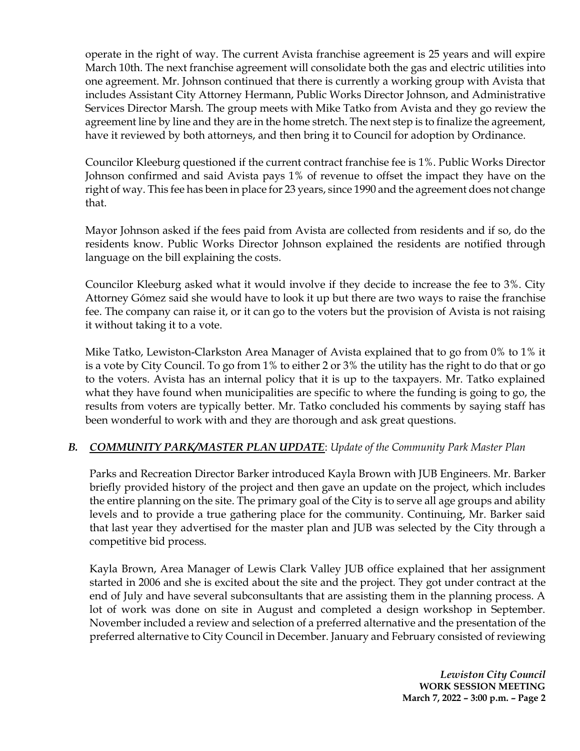operate in the right of way. The current Avista franchise agreement is 25 years and will expire March 10th. The next franchise agreement will consolidate both the gas and electric utilities into one agreement. Mr. Johnson continued that there is currently a working group with Avista that includes Assistant City Attorney Hermann, Public Works Director Johnson, and Administrative Services Director Marsh. The group meets with Mike Tatko from Avista and they go review the agreement line by line and they are in the home stretch. The next step is to finalize the agreement, have it reviewed by both attorneys, and then bring it to Council for adoption by Ordinance.

Councilor Kleeburg questioned if the current contract franchise fee is 1%. Public Works Director Johnson confirmed and said Avista pays 1% of revenue to offset the impact they have on the right of way. This fee has been in place for 23 years, since 1990 and the agreement does not change that.

Mayor Johnson asked if the fees paid from Avista are collected from residents and if so, do the residents know. Public Works Director Johnson explained the residents are notified through language on the bill explaining the costs.

Councilor Kleeburg asked what it would involve if they decide to increase the fee to 3%. City Attorney Gómez said she would have to look it up but there are two ways to raise the franchise fee. The company can raise it, or it can go to the voters but the provision of Avista is not raising it without taking it to a vote.

Mike Tatko, Lewiston-Clarkston Area Manager of Avista explained that to go from 0% to 1% it is a vote by City Council. To go from 1% to either 2 or 3% the utility has the right to do that or go to the voters. Avista has an internal policy that it is up to the taxpayers. Mr. Tatko explained what they have found when municipalities are specific to where the funding is going to go, the results from voters are typically better. Mr. Tatko concluded his comments by saying staff has been wonderful to work with and they are thorough and ask great questions.

## *B. COMMUNITY PARK/MASTER PLAN UPDATE*: *Update of the Community Park Master Plan*

Parks and Recreation Director Barker introduced Kayla Brown with JUB Engineers. Mr. Barker briefly provided history of the project and then gave an update on the project, which includes the entire planning on the site. The primary goal of the City is to serve all age groups and ability levels and to provide a true gathering place for the community. Continuing, Mr. Barker said that last year they advertised for the master plan and JUB was selected by the City through a competitive bid process.

Kayla Brown, Area Manager of Lewis Clark Valley JUB office explained that her assignment started in 2006 and she is excited about the site and the project. They got under contract at the end of July and have several subconsultants that are assisting them in the planning process. A lot of work was done on site in August and completed a design workshop in September. November included a review and selection of a preferred alternative and the presentation of the preferred alternative to City Council in December. January and February consisted of reviewing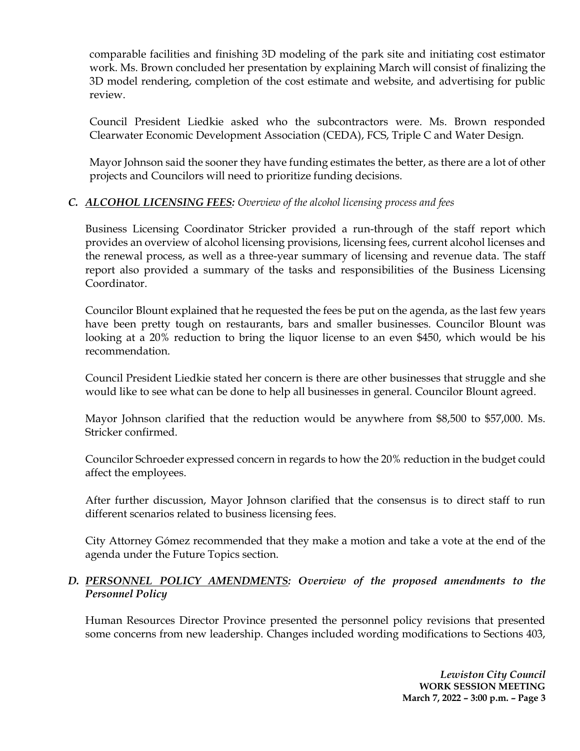comparable facilities and finishing 3D modeling of the park site and initiating cost estimator work. Ms. Brown concluded her presentation by explaining March will consist of finalizing the 3D model rendering, completion of the cost estimate and website, and advertising for public review.

Council President Liedkie asked who the subcontractors were. Ms. Brown responded Clearwater Economic Development Association (CEDA), FCS, Triple C and Water Design.

Mayor Johnson said the sooner they have funding estimates the better, as there are a lot of other projects and Councilors will need to prioritize funding decisions.

### *C. ALCOHOL LICENSING FEES: Overview of the alcohol licensing process and fees*

Business Licensing Coordinator Stricker provided a run-through of the staff report which provides an overview of alcohol licensing provisions, licensing fees, current alcohol licenses and the renewal process, as well as a three-year summary of licensing and revenue data. The staff report also provided a summary of the tasks and responsibilities of the Business Licensing Coordinator.

Councilor Blount explained that he requested the fees be put on the agenda, as the last few years have been pretty tough on restaurants, bars and smaller businesses. Councilor Blount was looking at a 20% reduction to bring the liquor license to an even \$450, which would be his recommendation.

Council President Liedkie stated her concern is there are other businesses that struggle and she would like to see what can be done to help all businesses in general. Councilor Blount agreed.

Mayor Johnson clarified that the reduction would be anywhere from \$8,500 to \$57,000. Ms. Stricker confirmed.

Councilor Schroeder expressed concern in regards to how the 20% reduction in the budget could affect the employees.

After further discussion, Mayor Johnson clarified that the consensus is to direct staff to run different scenarios related to business licensing fees.

City Attorney Gómez recommended that they make a motion and take a vote at the end of the agenda under the Future Topics section.

### *D. PERSONNEL POLICY AMENDMENTS: Overview of the proposed amendments to the Personnel Policy*

Human Resources Director Province presented the personnel policy revisions that presented some concerns from new leadership. Changes included wording modifications to Sections 403,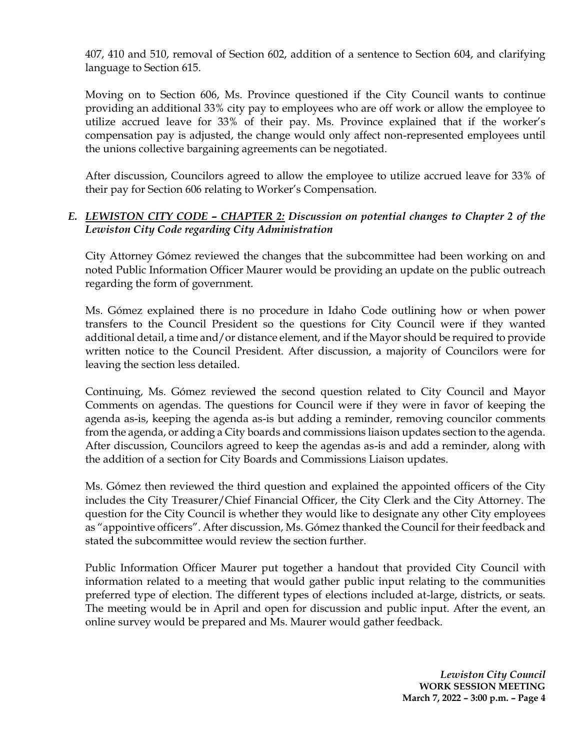407, 410 and 510, removal of Section 602, addition of a sentence to Section 604, and clarifying language to Section 615.

Moving on to Section 606, Ms. Province questioned if the City Council wants to continue providing an additional 33% city pay to employees who are off work or allow the employee to utilize accrued leave for 33% of their pay. Ms. Province explained that if the worker's compensation pay is adjusted, the change would only affect non-represented employees until the unions collective bargaining agreements can be negotiated.

After discussion, Councilors agreed to allow the employee to utilize accrued leave for 33% of their pay for Section 606 relating to Worker's Compensation.

## *E. LEWISTON CITY CODE – CHAPTER 2: Discussion on potential changes to Chapter 2 of the Lewiston City Code regarding City Administration*

City Attorney Gómez reviewed the changes that the subcommittee had been working on and noted Public Information Officer Maurer would be providing an update on the public outreach regarding the form of government.

Ms. Gómez explained there is no procedure in Idaho Code outlining how or when power transfers to the Council President so the questions for City Council were if they wanted additional detail, a time and/or distance element, and if the Mayor should be required to provide written notice to the Council President. After discussion, a majority of Councilors were for leaving the section less detailed.

Continuing, Ms. Gómez reviewed the second question related to City Council and Mayor Comments on agendas. The questions for Council were if they were in favor of keeping the agenda as-is, keeping the agenda as-is but adding a reminder, removing councilor comments from the agenda, or adding a City boards and commissions liaison updates section to the agenda. After discussion, Councilors agreed to keep the agendas as-is and add a reminder, along with the addition of a section for City Boards and Commissions Liaison updates.

Ms. Gómez then reviewed the third question and explained the appointed officers of the City includes the City Treasurer/Chief Financial Officer, the City Clerk and the City Attorney. The question for the City Council is whether they would like to designate any other City employees as "appointive officers". After discussion, Ms. Gómez thanked the Council for their feedback and stated the subcommittee would review the section further.

Public Information Officer Maurer put together a handout that provided City Council with information related to a meeting that would gather public input relating to the communities preferred type of election. The different types of elections included at-large, districts, or seats. The meeting would be in April and open for discussion and public input. After the event, an online survey would be prepared and Ms. Maurer would gather feedback.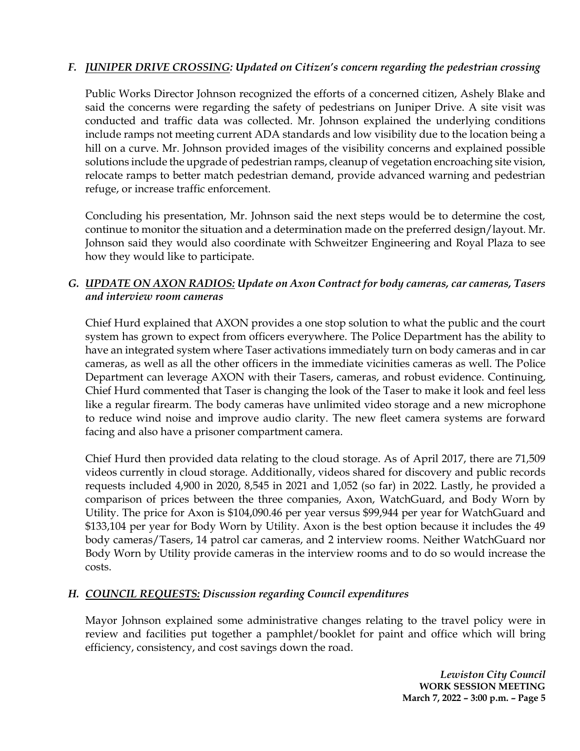## *F. JUNIPER DRIVE CROSSING: Updated on Citizen's concern regarding the pedestrian crossing*

Public Works Director Johnson recognized the efforts of a concerned citizen, Ashely Blake and said the concerns were regarding the safety of pedestrians on Juniper Drive. A site visit was conducted and traffic data was collected. Mr. Johnson explained the underlying conditions include ramps not meeting current ADA standards and low visibility due to the location being a hill on a curve. Mr. Johnson provided images of the visibility concerns and explained possible solutions include the upgrade of pedestrian ramps, cleanup of vegetation encroaching site vision, relocate ramps to better match pedestrian demand, provide advanced warning and pedestrian refuge, or increase traffic enforcement.

Concluding his presentation, Mr. Johnson said the next steps would be to determine the cost, continue to monitor the situation and a determination made on the preferred design/layout. Mr. Johnson said they would also coordinate with Schweitzer Engineering and Royal Plaza to see how they would like to participate.

### *G. UPDATE ON AXON RADIOS: Update on Axon Contract for body cameras, car cameras, Tasers and interview room cameras*

Chief Hurd explained that AXON provides a one stop solution to what the public and the court system has grown to expect from officers everywhere. The Police Department has the ability to have an integrated system where Taser activations immediately turn on body cameras and in car cameras, as well as all the other officers in the immediate vicinities cameras as well. The Police Department can leverage AXON with their Tasers, cameras, and robust evidence. Continuing, Chief Hurd commented that Taser is changing the look of the Taser to make it look and feel less like a regular firearm. The body cameras have unlimited video storage and a new microphone to reduce wind noise and improve audio clarity. The new fleet camera systems are forward facing and also have a prisoner compartment camera.

Chief Hurd then provided data relating to the cloud storage. As of April 2017, there are 71,509 videos currently in cloud storage. Additionally, videos shared for discovery and public records requests included 4,900 in 2020, 8,545 in 2021 and 1,052 (so far) in 2022. Lastly, he provided a comparison of prices between the three companies, Axon, WatchGuard, and Body Worn by Utility. The price for Axon is \$104,090.46 per year versus \$99,944 per year for WatchGuard and \$133,104 per year for Body Worn by Utility. Axon is the best option because it includes the 49 body cameras/Tasers, 14 patrol car cameras, and 2 interview rooms. Neither WatchGuard nor Body Worn by Utility provide cameras in the interview rooms and to do so would increase the costs.

### *H. COUNCIL REQUESTS: Discussion regarding Council expenditures*

Mayor Johnson explained some administrative changes relating to the travel policy were in review and facilities put together a pamphlet/booklet for paint and office which will bring efficiency, consistency, and cost savings down the road.